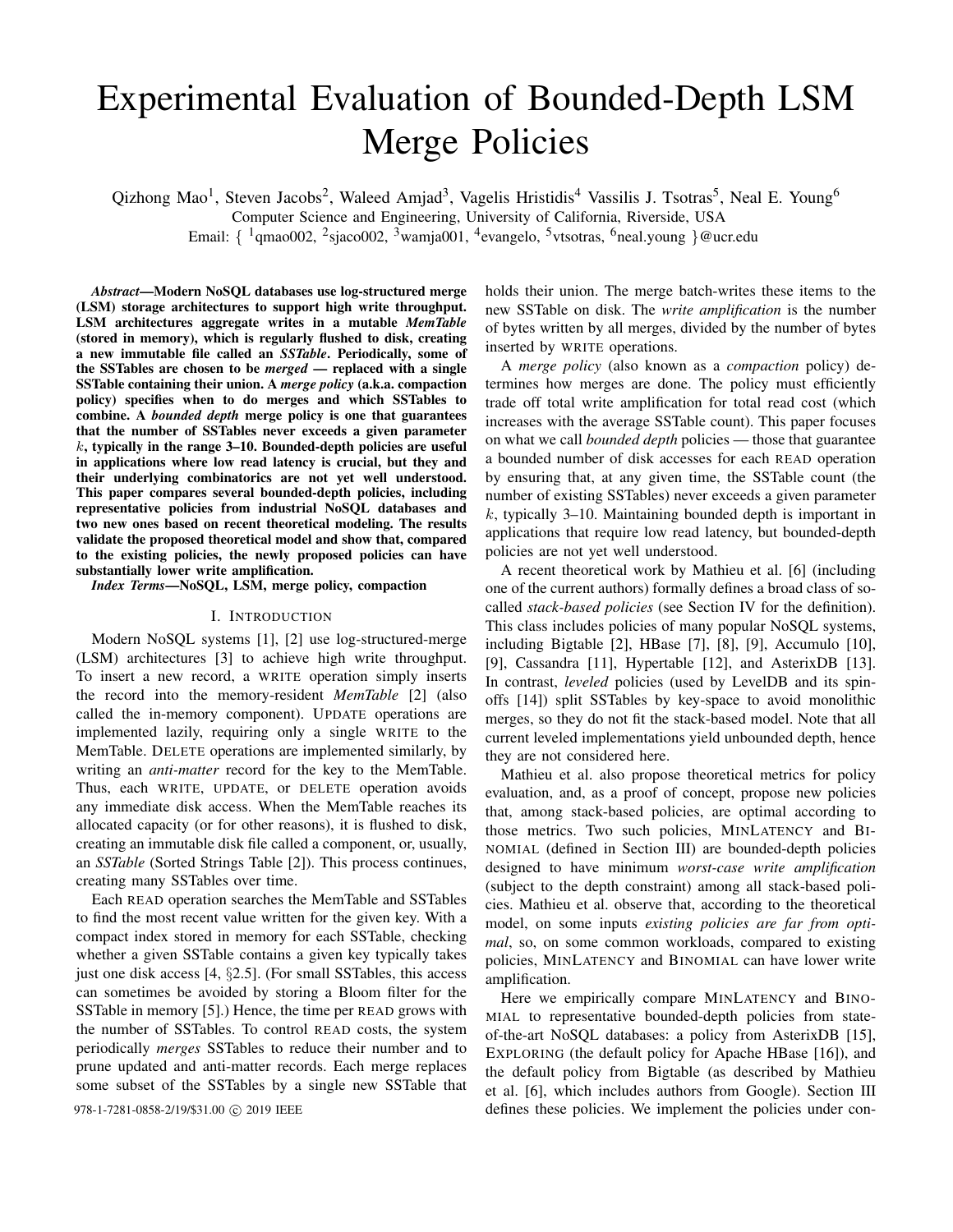# Experimental Evaluation of Bounded-Depth LSM Merge Policies

Qizhong Mao<sup>1</sup>, Steven Jacobs<sup>2</sup>, Waleed Amjad<sup>3</sup>, Vagelis Hristidis<sup>4</sup> Vassilis J. Tsotras<sup>5</sup>, Neal E. Young<sup>6</sup> Computer Science and Engineering, University of California, Riverside, USA Email: { <sup>1</sup>qmao002, <sup>2</sup>sjaco002, <sup>3</sup>wamja001, <sup>4</sup>evangelo, <sup>5</sup>vtsotras, <sup>6</sup>neal.young }@ucr.edu

*Abstract*—Modern NoSQL databases use log-structured merge (LSM) storage architectures to support high write throughput. LSM architectures aggregate writes in a mutable *MemTable* (stored in memory), which is regularly flushed to disk, creating a new immutable file called an *SSTable*. Periodically, some of the SSTables are chosen to be *merged* — replaced with a single SSTable containing their union. A *merge policy* (a.k.a. compaction policy) specifies when to do merges and which SSTables to combine. A *bounded depth* merge policy is one that guarantees that the number of SSTables never exceeds a given parameter  $k$ , typically in the range 3–10. Bounded-depth policies are useful in applications where low read latency is crucial, but they and their underlying combinatorics are not yet well understood. This paper compares several bounded-depth policies, including representative policies from industrial NoSQL databases and two new ones based on recent theoretical modeling. The results validate the proposed theoretical model and show that, compared to the existing policies, the newly proposed policies can have substantially lower write amplification.

*Index Terms*—NoSQL, LSM, merge policy, compaction

## I. INTRODUCTION

Modern NoSQL systems [\[1\]](#page-8-0), [\[2\]](#page-8-1) use log-structured-merge (LSM) architectures [\[3\]](#page-8-2) to achieve high write throughput. To insert a new record, a WRITE operation simply inserts the record into the memory-resident *MemTable* [\[2\]](#page-8-1) (also called the in-memory component). UPDATE operations are implemented lazily, requiring only a single WRITE to the MemTable. DELETE operations are implemented similarly, by writing an *anti-matter* record for the key to the MemTable. Thus, each WRITE, UPDATE, or DELETE operation avoids any immediate disk access. When the MemTable reaches its allocated capacity (or for other reasons), it is flushed to disk, creating an immutable disk file called a component, or, usually, an *SSTable* (Sorted Strings Table [\[2\]](#page-8-1)). This process continues, creating many SSTables over time.

Each READ operation searches the MemTable and SSTables to find the most recent value written for the given key. With a compact index stored in memory for each SSTable, checking whether a given SSTable contains a given key typically takes just one disk access [\[4,](#page-8-3) §2.5]. (For small SSTables, this access can sometimes be avoided by storing a Bloom filter for the SSTable in memory [\[5\]](#page-8-4).) Hence, the time per READ grows with the number of SSTables. To control READ costs, the system periodically *merges* SSTables to reduce their number and to prune updated and anti-matter records. Each merge replaces some subset of the SSTables by a single new SSTable that

holds their union. The merge batch-writes these items to the new SSTable on disk. The *write amplification* is the number of bytes written by all merges, divided by the number of bytes inserted by WRITE operations.

A *merge policy* (also known as a *compaction* policy) determines how merges are done. The policy must efficiently trade off total write amplification for total read cost (which increases with the average SSTable count). This paper focuses on what we call *bounded depth* policies — those that guarantee a bounded number of disk accesses for each READ operation by ensuring that, at any given time, the SSTable count (the number of existing SSTables) never exceeds a given parameter  $k$ , typically 3–10. Maintaining bounded depth is important in applications that require low read latency, but bounded-depth policies are not yet well understood.

A recent theoretical work by Mathieu et al. [\[6\]](#page-8-5) (including one of the current authors) formally defines a broad class of socalled *stack-based policies* (see Section [IV](#page-2-0) for the definition). This class includes policies of many popular NoSQL systems, including Bigtable [\[2\]](#page-8-1), HBase [\[7\]](#page-8-6), [\[8\]](#page-9-0), [\[9\]](#page-9-1), Accumulo [\[10\]](#page-9-2), [\[9\]](#page-9-1), Cassandra [\[11\]](#page-9-3), Hypertable [\[12\]](#page-9-4), and AsterixDB [\[13\]](#page-9-5). In contrast, *leveled* policies (used by LevelDB and its spinoffs [\[14\]](#page-9-6)) split SSTables by key-space to avoid monolithic merges, so they do not fit the stack-based model. Note that all current leveled implementations yield unbounded depth, hence they are not considered here.

Mathieu et al. also propose theoretical metrics for policy evaluation, and, as a proof of concept, propose new policies that, among stack-based policies, are optimal according to those metrics. Two such policies, MINLATENCY and BI-NOMIAL (defined in Section [III\)](#page-2-1) are bounded-depth policies designed to have minimum *worst-case write amplification* (subject to the depth constraint) among all stack-based policies. Mathieu et al. observe that, according to the theoretical model, on some inputs *existing policies are far from optimal*, so, on some common workloads, compared to existing policies, MINLATENCY and BINOMIAL can have lower write amplification.

Here we empirically compare MINLATENCY and BINO-MIAL to representative bounded-depth policies from stateof-the-art NoSQL databases: a policy from AsterixDB [\[15\]](#page-9-7), EXPLORING (the default policy for Apache HBase [\[16\]](#page-9-8)), and the default policy from Bigtable (as described by Mathieu et al. [\[6\]](#page-8-5), which includes authors from Google). Section [III](#page-2-2) 978-1-7281-0858-2/19/\$31.00 C 2019 IEEE defines these policies. We implement the policies under con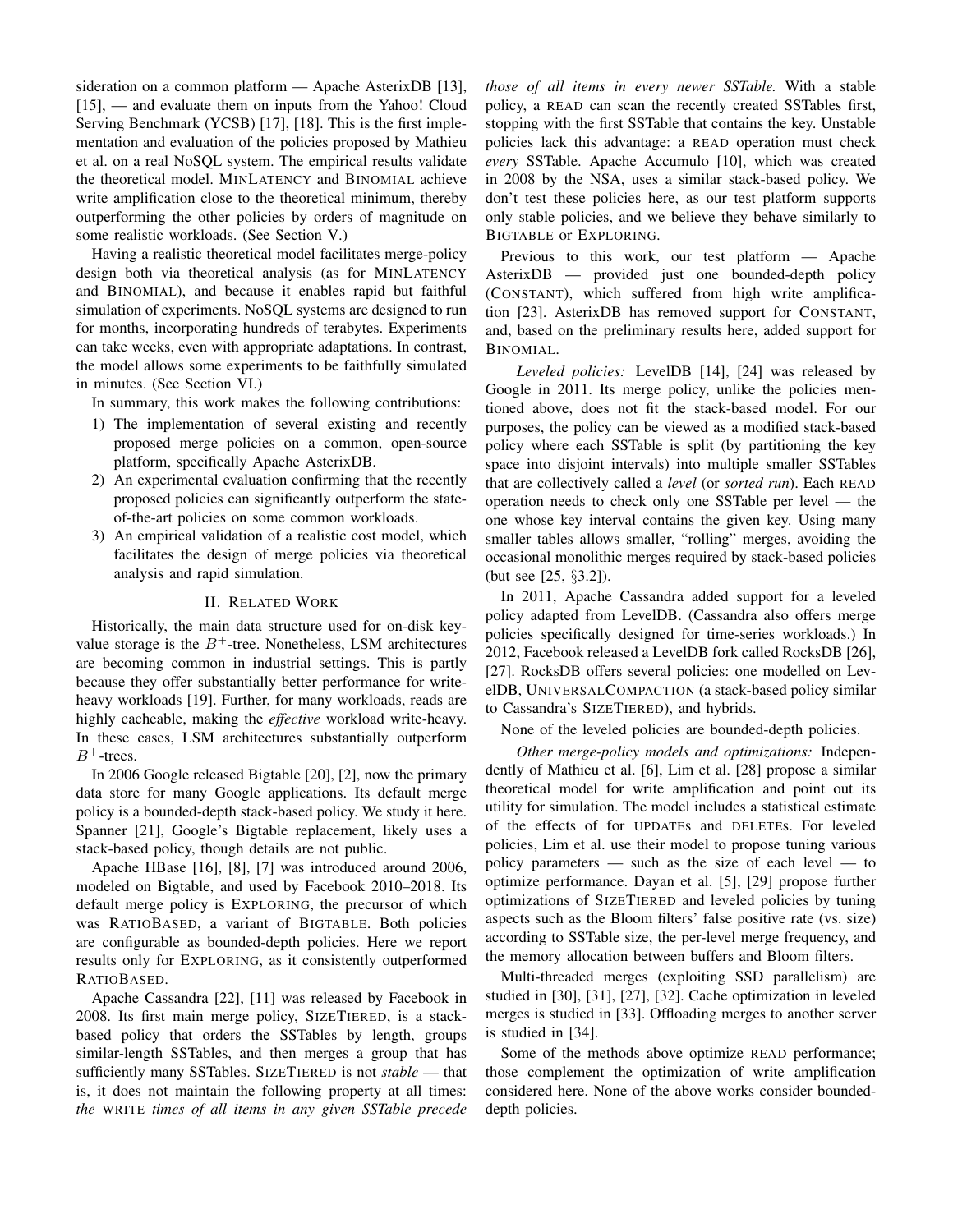sideration on a common platform — Apache AsterixDB [\[13\]](#page-9-5), [\[15\]](#page-9-7), — and evaluate them on inputs from the Yahoo! Cloud Serving Benchmark (YCSB) [\[17\]](#page-9-9), [\[18\]](#page-9-10). This is the first implementation and evaluation of the policies proposed by Mathieu et al. on a real NoSQL system. The empirical results validate the theoretical model. MINLATENCY and BINOMIAL achieve write amplification close to the theoretical minimum, thereby outperforming the other policies by orders of magnitude on some realistic workloads. (See Section [V.](#page-4-0))

Having a realistic theoretical model facilitates merge-policy design both via theoretical analysis (as for MINLATENCY and BINOMIAL), and because it enables rapid but faithful simulation of experiments. NoSQL systems are designed to run for months, incorporating hundreds of terabytes. Experiments can take weeks, even with appropriate adaptations. In contrast, the model allows some experiments to be faithfully simulated in minutes. (See Section [VI.](#page-6-0))

In summary, this work makes the following contributions:

- 1) The implementation of several existing and recently proposed merge policies on a common, open-source platform, specifically Apache AsterixDB.
- 2) An experimental evaluation confirming that the recently proposed policies can significantly outperform the stateof-the-art policies on some common workloads.
- 3) An empirical validation of a realistic cost model, which facilitates the design of merge policies via theoretical analysis and rapid simulation.

### II. RELATED WORK

Historically, the main data structure used for on-disk keyvalue storage is the  $B^+$ -tree. Nonetheless, LSM architectures are becoming common in industrial settings. This is partly because they offer substantially better performance for writeheavy workloads [\[19\]](#page-9-11). Further, for many workloads, reads are highly cacheable, making the *effective* workload write-heavy. In these cases, LSM architectures substantially outperform  $B^+$ -trees.

In 2006 Google released Bigtable [\[20\]](#page-9-12), [\[2\]](#page-8-1), now the primary data store for many Google applications. Its default merge policy is a bounded-depth stack-based policy. We study it here. Spanner [\[21\]](#page-9-13), Google's Bigtable replacement, likely uses a stack-based policy, though details are not public.

Apache HBase [\[16\]](#page-9-8), [\[8\]](#page-9-0), [\[7\]](#page-8-6) was introduced around 2006, modeled on Bigtable, and used by Facebook 2010–2018. Its default merge policy is EXPLORING, the precursor of which was RATIOBASED, a variant of BIGTABLE. Both policies are configurable as bounded-depth policies. Here we report results only for EXPLORING, as it consistently outperformed RATIOBASED.

Apache Cassandra [\[22\]](#page-9-14), [\[11\]](#page-9-3) was released by Facebook in 2008. Its first main merge policy, SIZETIERED, is a stackbased policy that orders the SSTables by length, groups similar-length SSTables, and then merges a group that has sufficiently many SSTables. SIZETIERED is not *stable* — that is, it does not maintain the following property at all times: *the* WRITE *times of all items in any given SSTable precede* *those of all items in every newer SSTable.* With a stable policy, a READ can scan the recently created SSTables first, stopping with the first SSTable that contains the key. Unstable policies lack this advantage: a READ operation must check *every* SSTable. Apache Accumulo [\[10\]](#page-9-2), which was created in 2008 by the NSA, uses a similar stack-based policy. We don't test these policies here, as our test platform supports only stable policies, and we believe they behave similarly to BIGTABLE or EXPLORING.

Previous to this work, our test platform — Apache AsterixDB — provided just one bounded-depth policy (CONSTANT), which suffered from high write amplification [\[23\]](#page-9-15). AsterixDB has removed support for CONSTANT, and, based on the preliminary results here, added support for BINOMIAL.

*Leveled policies:* LevelDB [\[14\]](#page-9-6), [\[24\]](#page-9-16) was released by Google in 2011. Its merge policy, unlike the policies mentioned above, does not fit the stack-based model. For our purposes, the policy can be viewed as a modified stack-based policy where each SSTable is split (by partitioning the key space into disjoint intervals) into multiple smaller SSTables that are collectively called a *level* (or *sorted run*). Each READ operation needs to check only one SSTable per level — the one whose key interval contains the given key. Using many smaller tables allows smaller, "rolling" merges, avoiding the occasional monolithic merges required by stack-based policies (but see [\[25,](#page-9-17) §3.2]).

In 2011, Apache Cassandra added support for a leveled policy adapted from LevelDB. (Cassandra also offers merge policies specifically designed for time-series workloads.) In 2012, Facebook released a LevelDB fork called RocksDB [\[26\]](#page-9-18), [\[27\]](#page-9-19). RocksDB offers several policies: one modelled on LevelDB, UNIVERSALCOMPACTION (a stack-based policy similar to Cassandra's SIZETIERED), and hybrids.

None of the leveled policies are bounded-depth policies.

*Other merge-policy models and optimizations:* Independently of Mathieu et al. [\[6\]](#page-8-5), Lim et al. [\[28\]](#page-9-20) propose a similar theoretical model for write amplification and point out its utility for simulation. The model includes a statistical estimate of the effects of for UPDATEs and DELETEs. For leveled policies, Lim et al. use their model to propose tuning various policy parameters — such as the size of each level — to optimize performance. Dayan et al. [\[5\]](#page-8-4), [\[29\]](#page-9-21) propose further optimizations of SIZETIERED and leveled policies by tuning aspects such as the Bloom filters' false positive rate (vs. size) according to SSTable size, the per-level merge frequency, and the memory allocation between buffers and Bloom filters.

Multi-threaded merges (exploiting SSD parallelism) are studied in [\[30\]](#page-9-22), [\[31\]](#page-9-23), [\[27\]](#page-9-19), [\[32\]](#page-9-24). Cache optimization in leveled merges is studied in [\[33\]](#page-9-25). Offloading merges to another server is studied in [\[34\]](#page-9-26).

Some of the methods above optimize READ performance; those complement the optimization of write amplification considered here. None of the above works consider boundeddepth policies.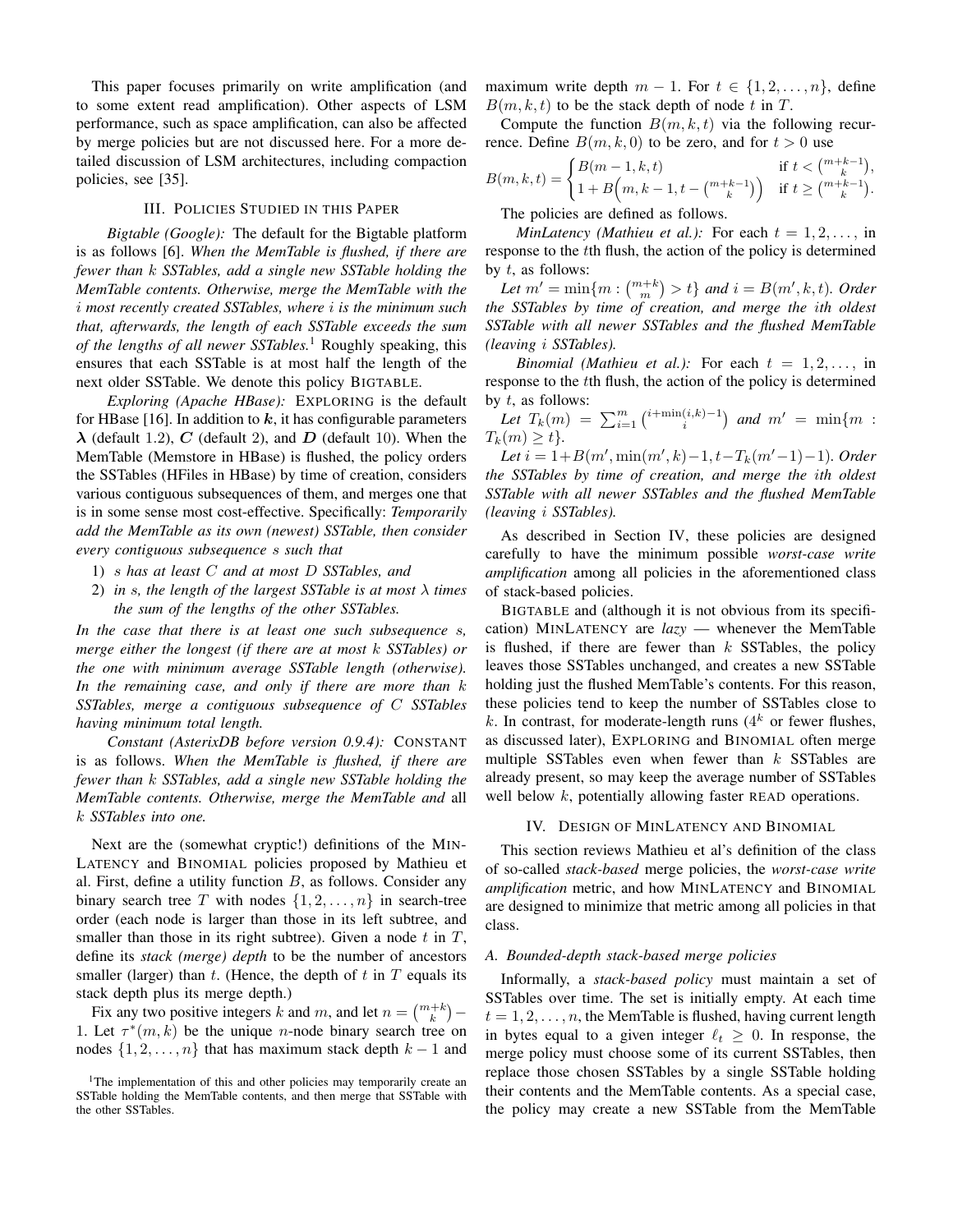This paper focuses primarily on write amplification (and to some extent read amplification). Other aspects of LSM performance, such as space amplification, can also be affected by merge policies but are not discussed here. For a more detailed discussion of LSM architectures, including compaction policies, see [\[35\]](#page-9-27).

#### III. POLICIES STUDIED IN THIS PAPER

<span id="page-2-2"></span>*Bigtable (Google):* The default for the Bigtable platform is as follows [\[6\]](#page-8-5). *When the MemTable is flushed, if there are fewer than* k *SSTables, add a single new SSTable holding the MemTable contents. Otherwise, merge the MemTable with the* i *most recently created SSTables, where* i *is the minimum such that, afterwards, the length of each SSTable exceeds the sum of the lengths of all newer SSTables.*[1](#page-2-3) Roughly speaking, this ensures that each SSTable is at most half the length of the next older SSTable. We denote this policy BIGTABLE.

*Exploring (Apache HBase):* EXPLORING is the default for HBase [\[16\]](#page-9-8). In addition to  $k$ , it has configurable parameters  $\lambda$  (default 1.2), C (default 2), and D (default 10). When the MemTable (Memstore in HBase) is flushed, the policy orders the SSTables (HFiles in HBase) by time of creation, considers various contiguous subsequences of them, and merges one that is in some sense most cost-effective. Specifically: *Temporarily add the MemTable as its own (newest) SSTable, then consider every contiguous subsequence* s *such that*

- 1) s *has at least* C *and at most* D *SSTables, and*
- 2) *in* s*, the length of the largest SSTable is at most* λ *times the sum of the lengths of the other SSTables.*

*In the case that there is at least one such subsequence* s*, merge either the longest (if there are at most* k *SSTables) or the one with minimum average SSTable length (otherwise). In the remaining case, and only if there are more than* k *SSTables, merge a contiguous subsequence of* C *SSTables having minimum total length.*

<span id="page-2-1"></span>*Constant (AsterixDB before version 0.9.4):* CONSTANT is as follows. *When the MemTable is flushed, if there are fewer than* k *SSTables, add a single new SSTable holding the MemTable contents. Otherwise, merge the MemTable and* all k *SSTables into one.*

Next are the (somewhat cryptic!) definitions of the MIN-LATENCY and BINOMIAL policies proposed by Mathieu et al. First, define a utility function  $B$ , as follows. Consider any binary search tree T with nodes  $\{1, 2, \ldots, n\}$  in search-tree order (each node is larger than those in its left subtree, and smaller than those in its right subtree). Given a node  $t$  in  $T$ , define its *stack (merge) depth* to be the number of ancestors smaller (larger) than  $t$ . (Hence, the depth of  $t$  in  $T$  equals its stack depth plus its merge depth.)

Fix any two positive integers k and m, and let  $n = \binom{m+k}{k}$  – 1. Let  $\tau^*(m, k)$  be the unique *n*-node binary search tree on nodes  $\{1, 2, \ldots, n\}$  that has maximum stack depth  $k - 1$  and maximum write depth  $m - 1$ . For  $t \in \{1, 2, ..., n\}$ , define  $B(m, k, t)$  to be the stack depth of node t in T.

Compute the function  $B(m, k, t)$  via the following recurrence. Define  $B(m, k, 0)$  to be zero, and for  $t > 0$  use

$$
B(m,k,t) = \begin{cases} B(m-1,k,t) & \text{if } t < \binom{m+k-1}{k}, \\ 1 + B\left(m, k-1, t - \binom{m+k-1}{k}\right) & \text{if } t \ge \binom{m+k-1}{k}. \end{cases}
$$

The policies are defined as follows.

*MinLatency (Mathieu et al.):* For each  $t = 1, 2, \ldots$ , in response to the tth flush, the action of the policy is determined by  $t$ , as follows:

*Let*  $m' = \min\{m : \binom{m+k}{m} > t\}$  *and*  $i = B(m', k, t)$ *. Order the SSTables by time of creation, and merge the* i*th oldest SSTable with all newer SSTables and the flushed MemTable (leaving* i *SSTables).*

*Binomial (Mathieu et al.)*: For each  $t = 1, 2, \ldots$ , in response to the tth flush, the action of the policy is determined by  $t$ , as follows:

Let  $T_k(m) = \sum_{i=1}^m {\binom{i+\min(i,k)-1}{i}}$  and  $m' = \min\{m :$  $T_k(m) \geq t$ .

 $Let i = 1 + B(m', min(m', k) - 1, t - T_k(m' - 1) - 1)$ *. Order the SSTables by time of creation, and merge the* i*th oldest SSTable with all newer SSTables and the flushed MemTable (leaving* i *SSTables).*

As described in Section [IV,](#page-2-0) these policies are designed carefully to have the minimum possible *worst-case write amplification* among all policies in the aforementioned class of stack-based policies.

BIGTABLE and (although it is not obvious from its specification) MINLATENCY are *lazy* — whenever the MemTable is flushed, if there are fewer than  $k$  SSTables, the policy leaves those SSTables unchanged, and creates a new SSTable holding just the flushed MemTable's contents. For this reason, these policies tend to keep the number of SSTables close to k. In contrast, for moderate-length runs  $(4^k$  or fewer flushes, as discussed later), EXPLORING and BINOMIAL often merge multiple SSTables even when fewer than  $k$  SSTables are already present, so may keep the average number of SSTables well below  $k$ , potentially allowing faster READ operations.

#### IV. DESIGN OF MINLATENCY AND BINOMIAL

<span id="page-2-0"></span>This section reviews Mathieu et al's definition of the class of so-called *stack-based* merge policies, the *worst-case write amplification* metric, and how MINLATENCY and BINOMIAL are designed to minimize that metric among all policies in that class.

#### *A. Bounded-depth stack-based merge policies*

Informally, a *stack-based policy* must maintain a set of SSTables over time. The set is initially empty. At each time  $t = 1, 2, \ldots, n$ , the MemTable is flushed, having current length in bytes equal to a given integer  $\ell_t \geq 0$ . In response, the merge policy must choose some of its current SSTables, then replace those chosen SSTables by a single SSTable holding their contents and the MemTable contents. As a special case, the policy may create a new SSTable from the MemTable

<span id="page-2-3"></span><sup>&</sup>lt;sup>1</sup>The implementation of this and other policies may temporarily create an SSTable holding the MemTable contents, and then merge that SSTable with the other SSTables.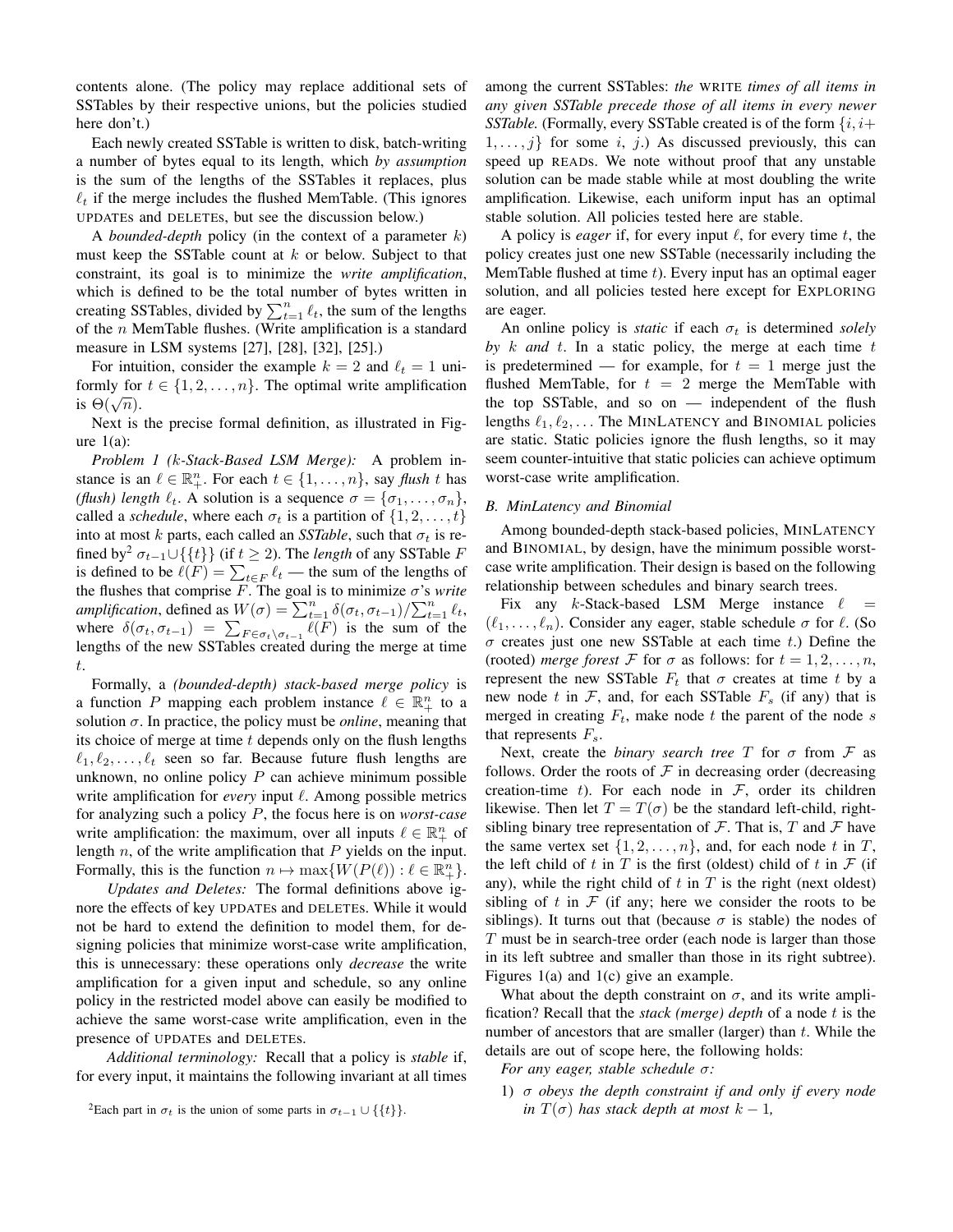contents alone. (The policy may replace additional sets of SSTables by their respective unions, but the policies studied here don't.)

Each newly created SSTable is written to disk, batch-writing a number of bytes equal to its length, which *by assumption* is the sum of the lengths of the SSTables it replaces, plus  $\ell_t$  if the merge includes the flushed MemTable. (This ignores UPDATEs and DELETEs, but see the discussion below.)

A *bounded-depth* policy (in the context of a parameter k) must keep the SSTable count at  $k$  or below. Subject to that constraint, its goal is to minimize the *write amplification*, which is defined to be the total number of bytes written in creating SSTables, divided by  $\sum_{t=1}^{n} \ell_t$ , the sum of the lengths of the  $n$  MemTable flushes. (Write amplification is a standard measure in LSM systems [\[27\]](#page-9-19), [\[28\]](#page-9-20), [\[32\]](#page-9-24), [\[25\]](#page-9-17).)

For intuition, consider the example  $k = 2$  and  $\ell_t = 1$  uniformly for  $t \in \{1, 2, ..., n\}$ . The optimal write amplification **i** θ( $\sqrt{n}$ ).

Next is the precise formal definition, as illustrated in Figure  $1(a)$ :

*Problem 1 (*k*-Stack-Based LSM Merge):* A problem instance is an  $\ell \in \mathbb{R}^n_+$ . For each  $t \in \{1, \ldots, n\}$ , say *flush* t has *(flush) length*  $\ell_t$ . A solution is a sequence  $\sigma = {\sigma_1, \ldots, \sigma_n}$ , called a *schedule*, where each  $\sigma_t$  is a partition of  $\{1, 2, \ldots, t\}$ into at most k parts, each called an *SSTable*, such that  $\sigma_t$  is re-fined by<sup>[2](#page-3-0)</sup>  $\sigma_{t-1} \cup \{\{t\}\}\$  (if  $t \geq 2$ ). The *length* of any SSTable F is defined to be  $\ell(F) = \sum_{t \in F} \ell_t$  — the sum of the lengths of the flushes that comprise  $\overline{F}$ . The goal is to minimize  $\sigma$ 's *write amplification*, defined as  $W(\sigma) = \sum_{t=1}^{n} \delta(\sigma_t, \sigma_{t-1}) / \sum_{t=1}^{n} \ell_t$ , where  $\delta(\sigma_t, \sigma_{t-1}) = \sum_{F \in \sigma_t \setminus \sigma_{t-1}} \ell(F)$  is the sum of the lengths of the new SSTables created during the merge at time t.

Formally, a *(bounded-depth) stack-based merge policy* is a function P mapping each problem instance  $\ell \in \mathbb{R}_+^n$  to a solution  $\sigma$ . In practice, the policy must be *online*, meaning that its choice of merge at time  $t$  depends only on the flush lengths  $\ell_1, \ell_2, \ldots, \ell_t$  seen so far. Because future flush lengths are unknown, no online policy  $P$  can achieve minimum possible write amplification for *every* input  $\ell$ . Among possible metrics for analyzing such a policy P, the focus here is on *worst-case* write amplification: the maximum, over all inputs  $\ell \in \mathbb{R}^n_+$  of length  $n$ , of the write amplification that  $P$  yields on the input. Formally, this is the function  $n \mapsto \max\{W(P(\ell)) : \ell \in \mathbb{R}^n_+\}.$ 

*Updates and Deletes:* The formal definitions above ignore the effects of key UPDATEs and DELETEs. While it would not be hard to extend the definition to model them, for designing policies that minimize worst-case write amplification, this is unnecessary: these operations only *decrease* the write amplification for a given input and schedule, so any online policy in the restricted model above can easily be modified to achieve the same worst-case write amplification, even in the presence of UPDATEs and DELETEs.

*Additional terminology:* Recall that a policy is *stable* if, for every input, it maintains the following invariant at all times among the current SSTables: *the* WRITE *times of all items in any given SSTable precede those of all items in every newer SSTable.* (Formally, every SSTable created is of the form  $\{i, i+\}$  $1, \ldots, j$  for some i, j.) As discussed previously, this can speed up READs. We note without proof that any unstable solution can be made stable while at most doubling the write amplification. Likewise, each uniform input has an optimal stable solution. All policies tested here are stable.

A policy is *eager* if, for every input  $\ell$ , for every time  $t$ , the policy creates just one new SSTable (necessarily including the MemTable flushed at time  $t$ ). Every input has an optimal eager solution, and all policies tested here except for EXPLORING are eager.

An online policy is *static* if each  $\sigma_t$  is determined *solely* by  $k$  *and*  $t$ . In a static policy, the merge at each time  $t$ is predetermined — for example, for  $t = 1$  merge just the flushed MemTable, for  $t = 2$  merge the MemTable with the top SSTable, and so on — independent of the flush lengths  $\ell_1, \ell_2, \ldots$  The MINLATENCY and BINOMIAL policies are static. Static policies ignore the flush lengths, so it may seem counter-intuitive that static policies can achieve optimum worst-case write amplification.

## *B. MinLatency and Binomial*

Among bounded-depth stack-based policies, MINLATENCY and BINOMIAL, by design, have the minimum possible worstcase write amplification. Their design is based on the following relationship between schedules and binary search trees.

Fix any k-Stack-based LSM Merge instance  $\ell =$  $(\ell_1, \ldots, \ell_n)$ . Consider any eager, stable schedule  $\sigma$  for  $\ell$ . (So  $\sigma$  creates just one new SSTable at each time t.) Define the (rooted) *merge forest* F for  $\sigma$  as follows: for  $t = 1, 2, ..., n$ , represent the new SSTable  $F_t$  that  $\sigma$  creates at time t by a new node t in  $\mathcal{F}$ , and, for each SSTable  $F_s$  (if any) that is merged in creating  $F_t$ , make node t the parent of the node s that represents  $F_s$ .

Next, create the *binary search tree*  $T$  for  $\sigma$  from  $\mathcal F$  as follows. Order the roots of  $\mathcal F$  in decreasing order (decreasing creation-time t). For each node in  $\mathcal{F}$ , order its children likewise. Then let  $T = T(\sigma)$  be the standard left-child, rightsibling binary tree representation of  $\mathcal F$ . That is,  $T$  and  $\mathcal F$  have the same vertex set  $\{1, 2, \ldots, n\}$ , and, for each node t in T, the left child of t in T is the first (oldest) child of t in  $\mathcal F$  (if any), while the right child of  $t$  in  $T$  is the right (next oldest) sibling of t in  $\mathcal F$  (if any; here we consider the roots to be siblings). It turns out that (because  $\sigma$  is stable) the nodes of T must be in search-tree order (each node is larger than those in its left subtree and smaller than those in its right subtree). Figures [1\(](#page-4-1)a) and [1\(](#page-4-1)c) give an example.

What about the depth constraint on  $\sigma$ , and its write amplification? Recall that the *stack (merge) depth* of a node t is the number of ancestors that are smaller (larger) than  $t$ . While the details are out of scope here, the following holds:

*For any eager, stable schedule* σ*:*

1) σ *obeys the depth constraint if and only if every node in*  $T(\sigma)$  *has stack depth at most*  $k - 1$ *,* 

<span id="page-3-0"></span><sup>&</sup>lt;sup>2</sup>Each part in  $\sigma_t$  is the union of some parts in  $\sigma_{t-1} \cup \{ \{ t \} \}.$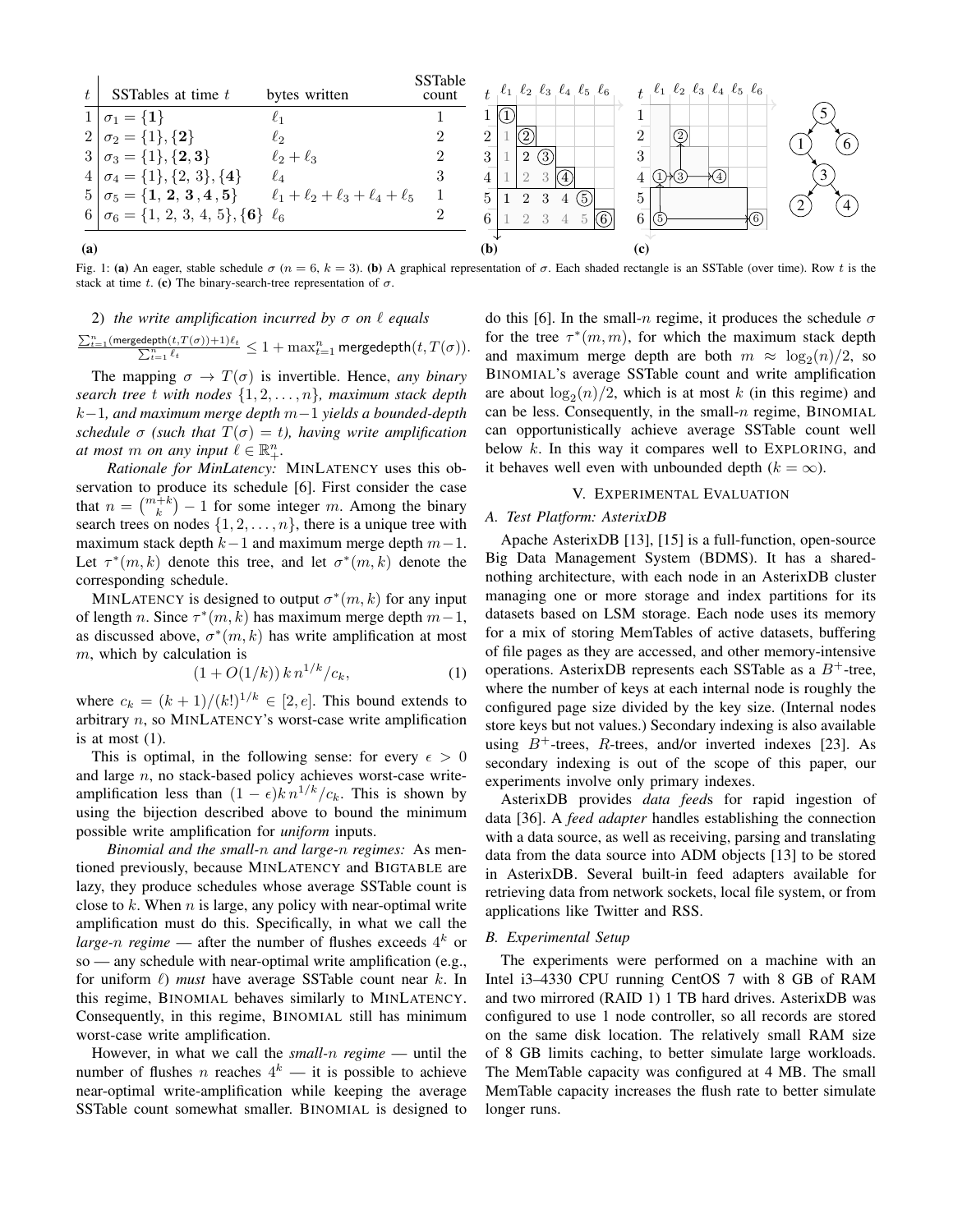<span id="page-4-1"></span>

Fig. 1: (a) An eager, stable schedule  $\sigma$  (n = 6, k = 3). (b) A graphical representation of  $\sigma$ . Each shaded rectangle is an SSTable (over time). Row t is the stack at time t. (c) The binary-search-tree representation of  $\sigma$ .

#### 2) *the write amplification incurred by*  $\sigma$  *on*  $\ell$  *equals*

$$
\tfrac{\sum_{t=1}^n (\mathrm{mergedepth}(t, T(\sigma))+1)\ell_t}{\sum_{t=1}^n \ell_t} \leq 1+\max_{t=1}^n \mathrm{mergedepth}(t, T(\sigma)).
$$

The mapping  $\sigma \to T(\sigma)$  is invertible. Hence, *any binary search tree* t *with nodes* {1, 2, . . . , n}*, maximum stack depth* k−1*, and maximum merge depth* m−1 *yields a bounded-depth schedule*  $\sigma$  (*such that*  $T(\sigma) = t$ *), having write amplification at most m on any input*  $\ell \in \mathbb{R}^n_+$ .

*Rationale for MinLatency:* MINLATENCY uses this observation to produce its schedule [\[6\]](#page-8-5). First consider the case that  $n = \binom{m+k}{k} - 1$  for some integer m. Among the binary search trees on nodes  $\{1, 2, \ldots, n\}$ , there is a unique tree with maximum stack depth  $k-1$  and maximum merge depth  $m-1$ . Let  $\tau^*(m, k)$  denote this tree, and let  $\sigma^*(m, k)$  denote the corresponding schedule.

MINLATENCY is designed to output  $\sigma^*(m, k)$  for any input of length *n*. Since  $\tau^*(m, k)$  has maximum merge depth  $m-1$ , as discussed above,  $\sigma^*(m, k)$  has write amplification at most m, which by calculation is

<span id="page-4-2"></span>
$$
(1 + O(1/k)) k n^{1/k} / c_k, \tag{1}
$$

where  $c_k = (k+1)/(k!)^{1/k} \in [2, e]$ . This bound extends to arbitrary n, so MINLATENCY's worst-case write amplification is at most  $(1)$ .

This is optimal, in the following sense: for every  $\epsilon > 0$ and large n, no stack-based policy achieves worst-case writeamplification less than  $(1 - \epsilon)k n^{1/k}/c_k$ . This is shown by using the bijection described above to bound the minimum possible write amplification for *uniform* inputs.

*Binomial and the small-*n *and large-*n *regimes:* As mentioned previously, because MINLATENCY and BIGTABLE are lazy, they produce schedules whose average SSTable count is close to  $k$ . When  $n$  is large, any policy with near-optimal write amplification must do this. Specifically, in what we call the *large-n regime* — after the number of flushes exceeds  $4^k$  or so — any schedule with near-optimal write amplification (e.g., for uniform  $\ell$ ) *must* have average SSTable count near k. In this regime, BINOMIAL behaves similarly to MINLATENCY. Consequently, in this regime, BINOMIAL still has minimum worst-case write amplification.

However, in what we call the *small-*n *regime* — until the number of flushes *n* reaches  $4^k$  — it is possible to achieve near-optimal write-amplification while keeping the average SSTable count somewhat smaller. BINOMIAL is designed to

do this [\[6\]](#page-8-5). In the small-n regime, it produces the schedule  $\sigma$ for the tree  $\tau^*(m, m)$ , for which the maximum stack depth and maximum merge depth are both  $m \approx \log_2(n)/2$ , so BINOMIAL's average SSTable count and write amplification are about  $log_2(n)/2$ , which is at most k (in this regime) and can be less. Consequently, in the small- $n$  regime, BINOMIAL can opportunistically achieve average SSTable count well below  $k$ . In this way it compares well to EXPLORING, and it behaves well even with unbounded depth  $(k = \infty)$ .

# V. EXPERIMENTAL EVALUATION

#### <span id="page-4-0"></span>*A. Test Platform: AsterixDB*

Apache AsterixDB [\[13\]](#page-9-5), [\[15\]](#page-9-7) is a full-function, open-source Big Data Management System (BDMS). It has a sharednothing architecture, with each node in an AsterixDB cluster managing one or more storage and index partitions for its datasets based on LSM storage. Each node uses its memory for a mix of storing MemTables of active datasets, buffering of file pages as they are accessed, and other memory-intensive operations. AsterixDB represents each SSTable as a  $B^+$ -tree, where the number of keys at each internal node is roughly the configured page size divided by the key size. (Internal nodes store keys but not values.) Secondary indexing is also available using  $B^+$ -trees, R-trees, and/or inverted indexes [\[23\]](#page-9-15). As secondary indexing is out of the scope of this paper, our experiments involve only primary indexes.

AsterixDB provides *data feed*s for rapid ingestion of data [\[36\]](#page-9-28). A *feed adapter* handles establishing the connection with a data source, as well as receiving, parsing and translating data from the data source into ADM objects [\[13\]](#page-9-5) to be stored in AsterixDB. Several built-in feed adapters available for retrieving data from network sockets, local file system, or from applications like Twitter and RSS.

## *B. Experimental Setup*

The experiments were performed on a machine with an Intel i3–4330 CPU running CentOS 7 with 8 GB of RAM and two mirrored (RAID 1) 1 TB hard drives. AsterixDB was configured to use 1 node controller, so all records are stored on the same disk location. The relatively small RAM size of 8 GB limits caching, to better simulate large workloads. The MemTable capacity was configured at 4 MB. The small MemTable capacity increases the flush rate to better simulate longer runs.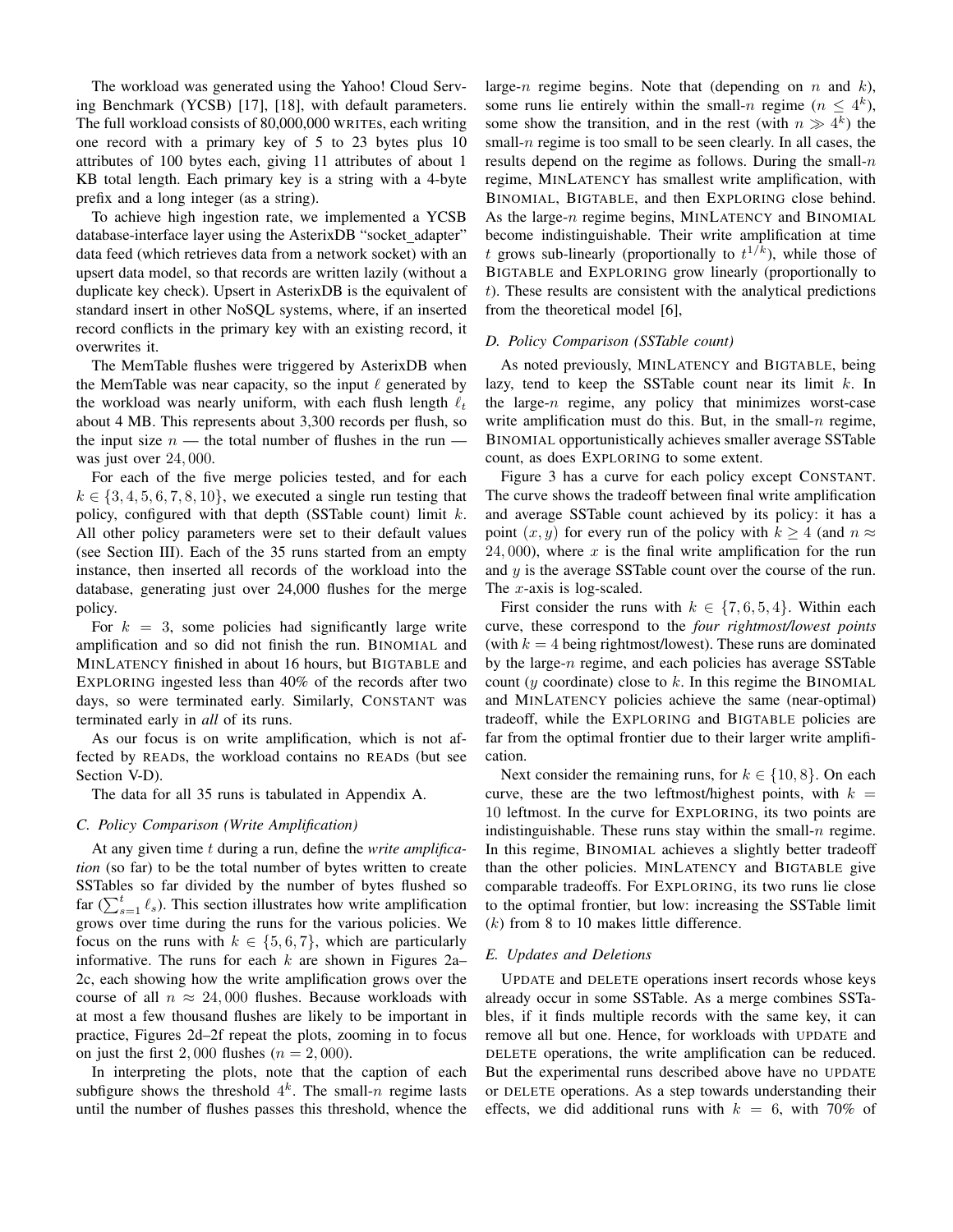The workload was generated using the Yahoo! Cloud Serving Benchmark (YCSB) [\[17\]](#page-9-9), [\[18\]](#page-9-10), with default parameters. The full workload consists of 80,000,000 WRITEs, each writing one record with a primary key of 5 to 23 bytes plus 10 attributes of 100 bytes each, giving 11 attributes of about 1 KB total length. Each primary key is a string with a 4-byte prefix and a long integer (as a string).

To achieve high ingestion rate, we implemented a YCSB database-interface layer using the AsterixDB "socket\_adapter" data feed (which retrieves data from a network socket) with an upsert data model, so that records are written lazily (without a duplicate key check). Upsert in AsterixDB is the equivalent of standard insert in other NoSQL systems, where, if an inserted record conflicts in the primary key with an existing record, it overwrites it.

The MemTable flushes were triggered by AsterixDB when the MemTable was near capacity, so the input  $\ell$  generated by the workload was nearly uniform, with each flush length  $\ell_t$ about 4 MB. This represents about 3,300 records per flush, so the input size  $n$  — the total number of flushes in the run was just over 24, 000.

For each of the five merge policies tested, and for each  $k \in \{3, 4, 5, 6, 7, 8, 10\}$ , we executed a single run testing that policy, configured with that depth (SSTable count) limit  $k$ . All other policy parameters were set to their default values (see Section [III\)](#page-2-2). Each of the 35 runs started from an empty instance, then inserted all records of the workload into the database, generating just over 24,000 flushes for the merge policy.

For  $k = 3$ , some policies had significantly large write amplification and so did not finish the run. BINOMIAL and MINLATENCY finished in about 16 hours, but BIGTABLE and EXPLORING ingested less than 40% of the records after two days, so were terminated early. Similarly, CONSTANT was terminated early in *all* of its runs.

As our focus is on write amplification, which is not affected by READs, the workload contains no READs (but see Section [V-D\)](#page-5-0).

The data for all 35 runs is tabulated in Appendix [A.](#page-8-7)

# *C. Policy Comparison (Write Amplification)*

At any given time t during a run, define the *write amplification* (so far) to be the total number of bytes written to create SSTables so far divided by the number of bytes flushed so far ( $\sum_{s=1}^{t} \ell_s$ ). This section illustrates how write amplification grows over time during the runs for the various policies. We focus on the runs with  $k \in \{5, 6, 7\}$ , which are particularly informative. The runs for each  $k$  are shown in Figures [2a–](#page-6-1) [2c,](#page-6-1) each showing how the write amplification grows over the course of all  $n \approx 24,000$  flushes. Because workloads with at most a few thousand flushes are likely to be important in practice, Figures [2d–2f](#page-6-1) repeat the plots, zooming in to focus on just the first 2,000 flushes  $(n = 2,000)$ .

In interpreting the plots, note that the caption of each subfigure shows the threshold  $4^k$ . The small-n regime lasts until the number of flushes passes this threshold, whence the large-n regime begins. Note that (depending on n and  $k$ ), some runs lie entirely within the small-n regime  $(n \leq 4^k)$ , some show the transition, and in the rest (with  $n \gg 4^k$ ) the small- $n$  regime is too small to be seen clearly. In all cases, the results depend on the regime as follows. During the small- $n$ regime, MINLATENCY has smallest write amplification, with BINOMIAL, BIGTABLE, and then EXPLORING close behind. As the large-n regime begins, MINLATENCY and BINOMIAL become indistinguishable. Their write amplification at time t grows sub-linearly (proportionally to  $t^{1/k}$ ), while those of BIGTABLE and EXPLORING grow linearly (proportionally to t). These results are consistent with the analytical predictions from the theoretical model [\[6\]](#page-8-5),

# <span id="page-5-0"></span>*D. Policy Comparison (SSTable count)*

As noted previously, MINLATENCY and BIGTABLE, being lazy, tend to keep the SSTable count near its limit  $k$ . In the large- $n$  regime, any policy that minimizes worst-case write amplification must do this. But, in the small- $n$  regime, BINOMIAL opportunistically achieves smaller average SSTable count, as does EXPLORING to some extent.

Figure [3](#page-6-2) has a curve for each policy except CONSTANT. The curve shows the tradeoff between final write amplification and average SSTable count achieved by its policy: it has a point  $(x, y)$  for every run of the policy with  $k > 4$  (and  $n \approx$  $24,000$ , where x is the final write amplification for the run and y is the average SSTable count over the course of the run. The  $x$ -axis is log-scaled.

First consider the runs with  $k \in \{7, 6, 5, 4\}$ . Within each curve, these correspond to the *four rightmost/lowest points* (with  $k = 4$  being rightmost/lowest). These runs are dominated by the large-n regime, and each policies has average SSTable count (y coordinate) close to  $k$ . In this regime the BINOMIAL and MINLATENCY policies achieve the same (near-optimal) tradeoff, while the EXPLORING and BIGTABLE policies are far from the optimal frontier due to their larger write amplification.

Next consider the remaining runs, for  $k \in \{10, 8\}$ . On each curve, these are the two leftmost/highest points, with  $k =$ 10 leftmost. In the curve for EXPLORING, its two points are indistinguishable. These runs stay within the small- $n$  regime. In this regime, BINOMIAL achieves a slightly better tradeoff than the other policies. MINLATENCY and BIGTABLE give comparable tradeoffs. For EXPLORING, its two runs lie close to the optimal frontier, but low: increasing the SSTable limit  $(k)$  from 8 to 10 makes little difference.

# *E. Updates and Deletions*

UPDATE and DELETE operations insert records whose keys already occur in some SSTable. As a merge combines SSTables, if it finds multiple records with the same key, it can remove all but one. Hence, for workloads with UPDATE and DELETE operations, the write amplification can be reduced. But the experimental runs described above have no UPDATE or DELETE operations. As a step towards understanding their effects, we did additional runs with  $k = 6$ , with 70% of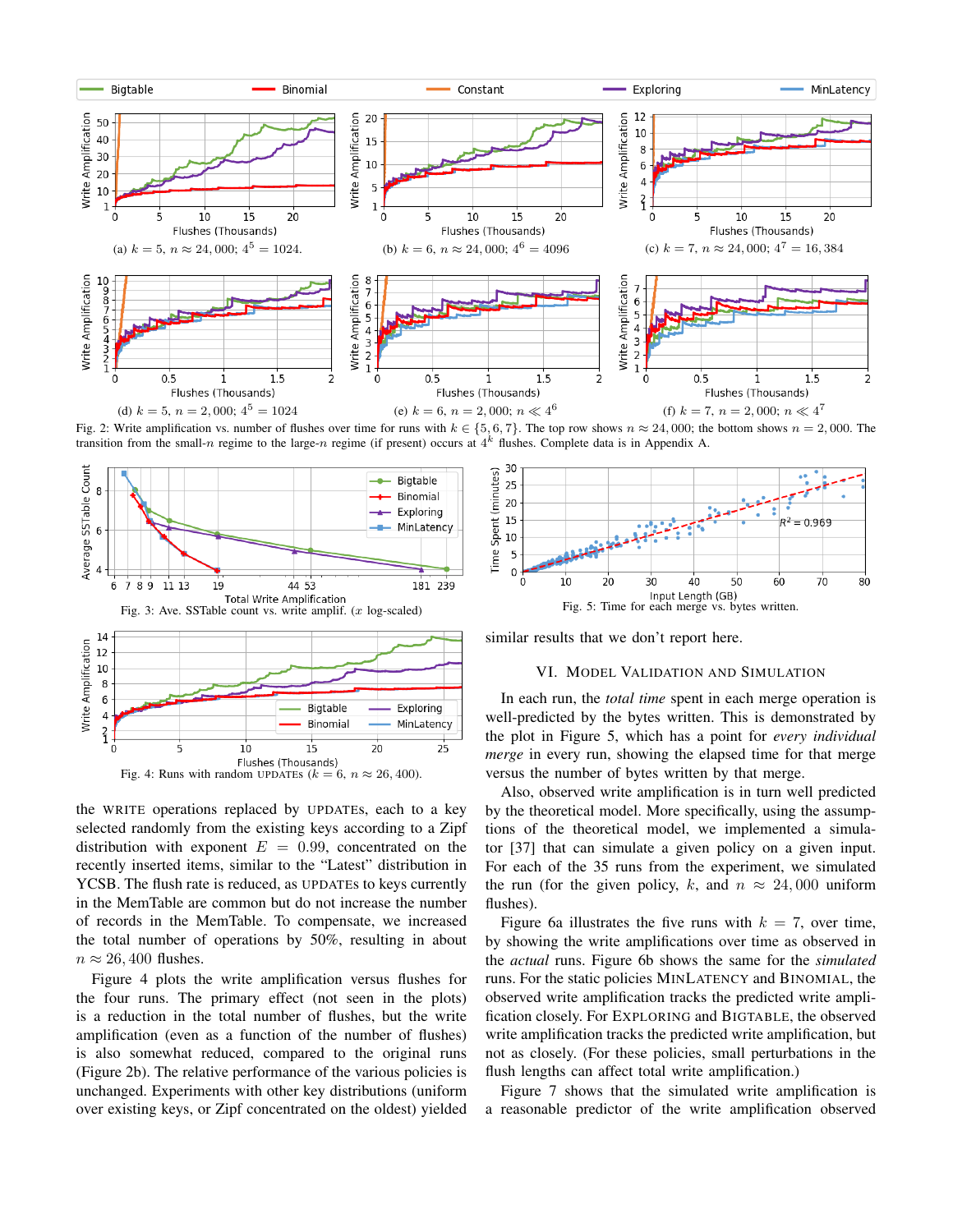<span id="page-6-1"></span>

Fig. 2: Write amplification vs. number of flushes over time for runs with  $k \in \{5, 6, 7\}$ . The top row shows  $n \approx 24,000$ ; the bottom shows  $n = 2,000$ . The transition from the small-n regime to the large-n regime (if present) occurs at  $4^k$  flushes. Complete data is in Appendix [A.](#page-8-7)

<span id="page-6-3"></span><span id="page-6-2"></span>

the WRITE operations replaced by UPDATEs, each to a key selected randomly from the existing keys according to a Zipf distribution with exponent  $E = 0.99$ , concentrated on the recently inserted items, similar to the "Latest" distribution in YCSB. The flush rate is reduced, as UPDATEs to keys currently in the MemTable are common but do not increase the number of records in the MemTable. To compensate, we increased the total number of operations by 50%, resulting in about  $n \approx 26,400$  flushes.

Figure [4](#page-6-3) plots the write amplification versus flushes for the four runs. The primary effect (not seen in the plots) is a reduction in the total number of flushes, but the write amplification (even as a function of the number of flushes) is also somewhat reduced, compared to the original runs (Figure [2b\)](#page-6-1). The relative performance of the various policies is unchanged. Experiments with other key distributions (uniform over existing keys, or Zipf concentrated on the oldest) yielded

<span id="page-6-4"></span>

<span id="page-6-0"></span>similar results that we don't report here.

# VI. MODEL VALIDATION AND SIMULATION

In each run, the *total time* spent in each merge operation is well-predicted by the bytes written. This is demonstrated by the plot in Figure [5,](#page-6-4) which has a point for *every individual merge* in every run, showing the elapsed time for that merge versus the number of bytes written by that merge.

Also, observed write amplification is in turn well predicted by the theoretical model. More specifically, using the assumptions of the theoretical model, we implemented a simulator [\[37\]](#page-9-29) that can simulate a given policy on a given input. For each of the 35 runs from the experiment, we simulated the run (for the given policy, k, and  $n \approx 24,000$  uniform flushes).

Figure [6a](#page-7-0) illustrates the five runs with  $k = 7$ , over time, by showing the write amplifications over time as observed in the *actual* runs. Figure [6b](#page-7-0) shows the same for the *simulated* runs. For the static policies MINLATENCY and BINOMIAL, the observed write amplification tracks the predicted write amplification closely. For EXPLORING and BIGTABLE, the observed write amplification tracks the predicted write amplification, but not as closely. (For these policies, small perturbations in the flush lengths can affect total write amplification.)

Figure [7](#page-7-1) shows that the simulated write amplification is a reasonable predictor of the write amplification observed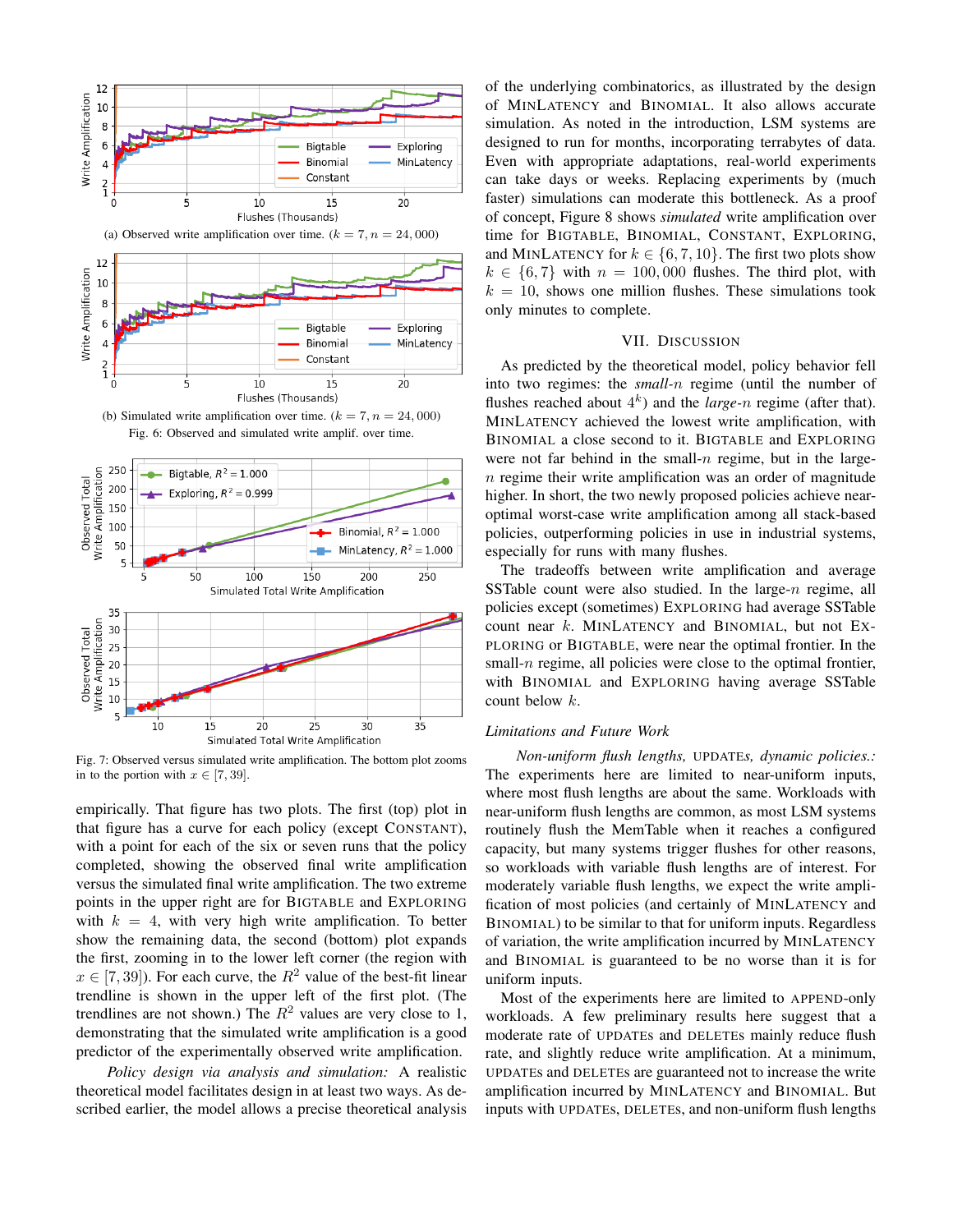<span id="page-7-0"></span>

(b) Simulated write amplification over time.  $(k = 7, n = 24,000)$ Fig. 6: Observed and simulated write amplif. over time.

<span id="page-7-1"></span>

Fig. 7: Observed versus simulated write amplification. The bottom plot zooms in to the portion with  $x \in [7, 39]$ .

empirically. That figure has two plots. The first (top) plot in that figure has a curve for each policy (except CONSTANT), with a point for each of the six or seven runs that the policy completed, showing the observed final write amplification versus the simulated final write amplification. The two extreme points in the upper right are for BIGTABLE and EXPLORING with  $k = 4$ , with very high write amplification. To better show the remaining data, the second (bottom) plot expands the first, zooming in to the lower left corner (the region with  $x \in [7, 39]$ . For each curve, the  $R^2$  value of the best-fit linear trendline is shown in the upper left of the first plot. (The trendlines are not shown.) The  $R^2$  values are very close to 1, demonstrating that the simulated write amplification is a good predictor of the experimentally observed write amplification.

*Policy design via analysis and simulation:* A realistic theoretical model facilitates design in at least two ways. As described earlier, the model allows a precise theoretical analysis of the underlying combinatorics, as illustrated by the design of MINLATENCY and BINOMIAL. It also allows accurate simulation. As noted in the introduction, LSM systems are designed to run for months, incorporating terrabytes of data. Even with appropriate adaptations, real-world experiments can take days or weeks. Replacing experiments by (much faster) simulations can moderate this bottleneck. As a proof of concept, Figure [8](#page-8-8) shows *simulated* write amplification over time for BIGTABLE, BINOMIAL, CONSTANT, EXPLORING, and MINLATENCY for  $k \in \{6, 7, 10\}$ . The first two plots show  $k \in \{6, 7\}$  with  $n = 100, 000$  flushes. The third plot, with  $k = 10$ , shows one million flushes. These simulations took only minutes to complete.

## VII. DISCUSSION

As predicted by the theoretical model, policy behavior fell into two regimes: the *small-*n regime (until the number of flushes reached about  $4^k$ ) and the *large-n* regime (after that). MINLATENCY achieved the lowest write amplification, with BINOMIAL a close second to it. BIGTABLE and EXPLORING were not far behind in the small- $n$  regime, but in the large $n$  regime their write amplification was an order of magnitude higher. In short, the two newly proposed policies achieve nearoptimal worst-case write amplification among all stack-based policies, outperforming policies in use in industrial systems, especially for runs with many flushes.

The tradeoffs between write amplification and average SSTable count were also studied. In the large- $n$  regime, all policies except (sometimes) EXPLORING had average SSTable count near  $k$ . MINLATENCY and BINOMIAL, but not EX-PLORING or BIGTABLE, were near the optimal frontier. In the small- $n$  regime, all policies were close to the optimal frontier, with BINOMIAL and EXPLORING having average SSTable count below k.

# *Limitations and Future Work*

*Non-uniform flush lengths,* UPDATE*s, dynamic policies.:* The experiments here are limited to near-uniform inputs, where most flush lengths are about the same. Workloads with near-uniform flush lengths are common, as most LSM systems routinely flush the MemTable when it reaches a configured capacity, but many systems trigger flushes for other reasons, so workloads with variable flush lengths are of interest. For moderately variable flush lengths, we expect the write amplification of most policies (and certainly of MINLATENCY and BINOMIAL) to be similar to that for uniform inputs. Regardless of variation, the write amplification incurred by MINLATENCY and BINOMIAL is guaranteed to be no worse than it is for uniform inputs.

Most of the experiments here are limited to APPEND-only workloads. A few preliminary results here suggest that a moderate rate of UPDATEs and DELETEs mainly reduce flush rate, and slightly reduce write amplification. At a minimum, UPDATEs and DELETEs are guaranteed not to increase the write amplification incurred by MINLATENCY and BINOMIAL. But inputs with UPDATEs, DELETEs, and non-uniform flush lengths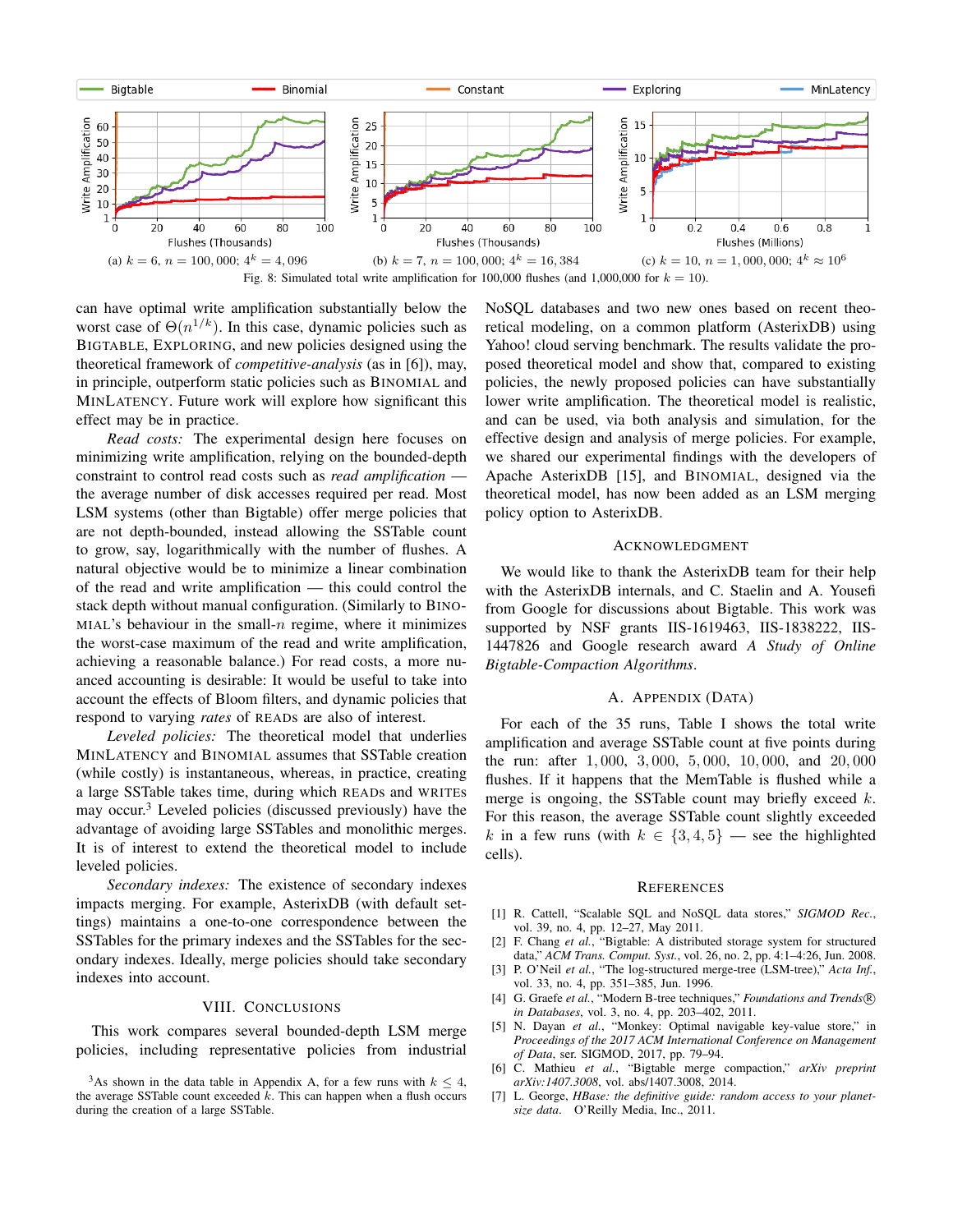<span id="page-8-8"></span>

can have optimal write amplification substantially below the worst case of  $\Theta(n^{1/k})$ . In this case, dynamic policies such as BIGTABLE, EXPLORING, and new policies designed using the theoretical framework of *competitive-analysis* (as in [\[6\]](#page-8-5)), may, in principle, outperform static policies such as BINOMIAL and MINLATENCY. Future work will explore how significant this effect may be in practice.

*Read costs:* The experimental design here focuses on minimizing write amplification, relying on the bounded-depth constraint to control read costs such as *read amplification* the average number of disk accesses required per read. Most LSM systems (other than Bigtable) offer merge policies that are not depth-bounded, instead allowing the SSTable count to grow, say, logarithmically with the number of flushes. A natural objective would be to minimize a linear combination of the read and write amplification — this could control the stack depth without manual configuration. (Similarly to BINO-MIAL's behaviour in the small- $n$  regime, where it minimizes the worst-case maximum of the read and write amplification, achieving a reasonable balance.) For read costs, a more nuanced accounting is desirable: It would be useful to take into account the effects of Bloom filters, and dynamic policies that respond to varying *rates* of READs are also of interest.

*Leveled policies:* The theoretical model that underlies MINLATENCY and BINOMIAL assumes that SSTable creation (while costly) is instantaneous, whereas, in practice, creating a large SSTable takes time, during which READs and WRITEs may occur.<sup>[3](#page-8-9)</sup> Leveled policies (discussed previously) have the advantage of avoiding large SSTables and monolithic merges. It is of interest to extend the theoretical model to include leveled policies.

*Secondary indexes:* The existence of secondary indexes impacts merging. For example, AsterixDB (with default settings) maintains a one-to-one correspondence between the SSTables for the primary indexes and the SSTables for the secondary indexes. Ideally, merge policies should take secondary indexes into account.

# VIII. CONCLUSIONS

This work compares several bounded-depth LSM merge policies, including representative policies from industrial NoSQL databases and two new ones based on recent theoretical modeling, on a common platform (AsterixDB) using Yahoo! cloud serving benchmark. The results validate the proposed theoretical model and show that, compared to existing policies, the newly proposed policies can have substantially lower write amplification. The theoretical model is realistic, and can be used, via both analysis and simulation, for the effective design and analysis of merge policies. For example, we shared our experimental findings with the developers of Apache AsterixDB [\[15\]](#page-9-7), and BINOMIAL, designed via the theoretical model, has now been added as an LSM merging policy option to AsterixDB.

## ACKNOWLEDGMENT

We would like to thank the AsterixDB team for their help with the AsterixDB internals, and C. Staelin and A. Yousefi from Google for discussions about Bigtable. This work was supported by NSF grants IIS-1619463, IIS-1838222, IIS-1447826 and Google research award *A Study of Online Bigtable-Compaction Algorithms*.

#### A. APPENDIX (DATA)

<span id="page-8-7"></span>For each of the 35 runs, Table [I](#page-9-30) shows the total write amplification and average SSTable count at five points during the run: after 1, 000, 3, 000, 5, 000, 10, 000, and 20, 000 flushes. If it happens that the MemTable is flushed while a merge is ongoing, the SSTable count may briefly exceed  $k$ . For this reason, the average SSTable count slightly exceeded k in a few runs (with  $k \in \{3, 4, 5\}$  — see the highlighted cells).

#### **REFERENCES**

- <span id="page-8-0"></span>[1] R. Cattell, "Scalable SQL and NoSQL data stores," *SIGMOD Rec.*, vol. 39, no. 4, pp. 12–27, May 2011.
- <span id="page-8-1"></span>[2] F. Chang *et al.*, "Bigtable: A distributed storage system for structured data," *ACM Trans. Comput. Syst.*, vol. 26, no. 2, pp. 4:1–4:26, Jun. 2008.
- <span id="page-8-2"></span>[3] P. O'Neil *et al.*, "The log-structured merge-tree (LSM-tree)," *Acta Inf.*, vol. 33, no. 4, pp. 351–385, Jun. 1996.
- <span id="page-8-3"></span>[4] G. Graefe *et al.*, "Modern B-tree techniques," *Foundations and Trends* R *in Databases*, vol. 3, no. 4, pp. 203–402, 2011.
- <span id="page-8-4"></span>[5] N. Dayan et al., "Monkey: Optimal navigable key-value store," in *Proceedings of the 2017 ACM International Conference on Management of Data*, ser. SIGMOD, 2017, pp. 79–94.
- <span id="page-8-5"></span>[6] C. Mathieu *et al.*, "Bigtable merge compaction," *arXiv preprint arXiv:1407.3008*, vol. abs/1407.3008, 2014.
- <span id="page-8-6"></span>[7] L. George, *HBase: the definitive guide: random access to your planetsize data*. O'Reilly Media, Inc., 2011.

<span id="page-8-9"></span><sup>&</sup>lt;sup>3</sup>As shown in the data table in Appendix [A,](#page-8-7) for a few runs with  $k \leq 4$ , the average SSTable count exceeded  $\vec{k}$ . This can happen when a flush occurs during the creation of a large SSTable.